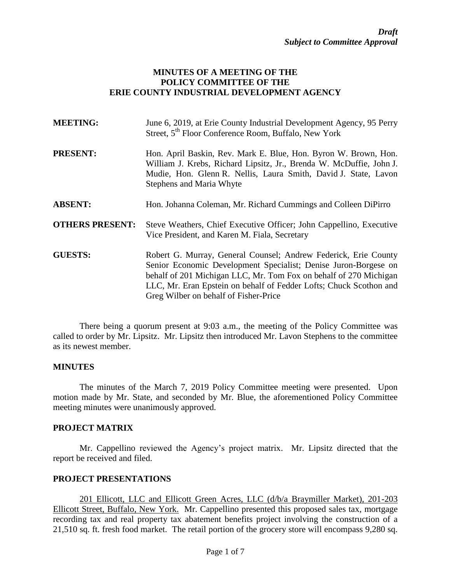### **MINUTES OF A MEETING OF THE POLICY COMMITTEE OF THE ERIE COUNTY INDUSTRIAL DEVELOPMENT AGENCY**

| <b>MEETING:</b>        | June 6, 2019, at Erie County Industrial Development Agency, 95 Perry<br>Street, 5 <sup>th</sup> Floor Conference Room, Buffalo, New York                                                                                                                                                                               |
|------------------------|------------------------------------------------------------------------------------------------------------------------------------------------------------------------------------------------------------------------------------------------------------------------------------------------------------------------|
| <b>PRESENT:</b>        | Hon. April Baskin, Rev. Mark E. Blue, Hon. Byron W. Brown, Hon.<br>William J. Krebs, Richard Lipsitz, Jr., Brenda W. McDuffie, John J.<br>Mudie, Hon. Glenn R. Nellis, Laura Smith, David J. State, Lavon<br>Stephens and Maria Whyte                                                                                  |
| <b>ABSENT:</b>         | Hon. Johanna Coleman, Mr. Richard Cummings and Colleen DiPirro                                                                                                                                                                                                                                                         |
| <b>OTHERS PRESENT:</b> | Steve Weathers, Chief Executive Officer; John Cappellino, Executive<br>Vice President, and Karen M. Fiala, Secretary                                                                                                                                                                                                   |
| <b>GUESTS:</b>         | Robert G. Murray, General Counsel; Andrew Federick, Erie County<br>Senior Economic Development Specialist; Denise Juron-Borgese on<br>behalf of 201 Michigan LLC, Mr. Tom Fox on behalf of 270 Michigan<br>LLC, Mr. Eran Epstein on behalf of Fedder Lofts; Chuck Scothon and<br>Greg Wilber on behalf of Fisher-Price |

There being a quorum present at 9:03 a.m., the meeting of the Policy Committee was called to order by Mr. Lipsitz. Mr. Lipsitz then introduced Mr. Lavon Stephens to the committee as its newest member.

#### **MINUTES**

The minutes of the March 7, 2019 Policy Committee meeting were presented. Upon motion made by Mr. State, and seconded by Mr. Blue, the aforementioned Policy Committee meeting minutes were unanimously approved.

### **PROJECT MATRIX**

Mr. Cappellino reviewed the Agency's project matrix. Mr. Lipsitz directed that the report be received and filed.

### **PROJECT PRESENTATIONS**

201 Ellicott, LLC and Ellicott Green Acres, LLC (d/b/a Braymiller Market), 201-203 Ellicott Street, Buffalo, New York. Mr. Cappellino presented this proposed sales tax, mortgage recording tax and real property tax abatement benefits project involving the construction of a 21,510 sq. ft. fresh food market. The retail portion of the grocery store will encompass 9,280 sq.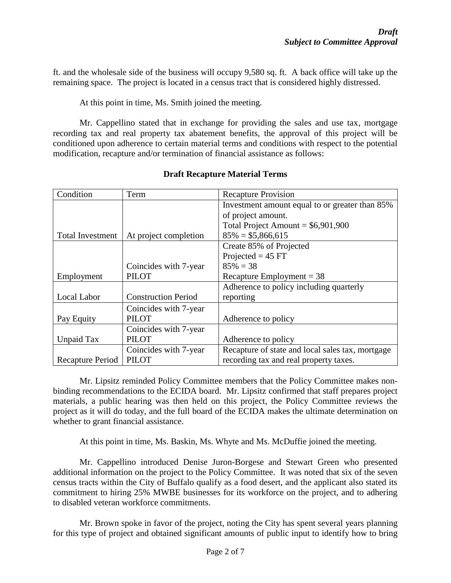ft. and the wholesale side of the business will occupy 9,580 sq. ft. A back office will take up the remaining space. The project is located in a census tract that is considered highly distressed.

At this point in time, Ms. Smith joined the meeting.

Mr. Cappellino stated that in exchange for providing the sales and use tax, mortgage recording tax and real property tax abatement benefits, the approval of this project will be conditioned upon adherence to certain material terms and conditions with respect to the potential modification, recapture and/or termination of financial assistance as follows:

| Condition               | Term                       | <b>Recapture Provision</b>                       |
|-------------------------|----------------------------|--------------------------------------------------|
|                         |                            | Investment amount equal to or greater than 85%   |
|                         |                            | of project amount.                               |
|                         |                            | Total Project Amount = $$6,901,900$              |
| <b>Total Investment</b> | At project completion      | $85\% = $5,866,615$                              |
|                         |                            | Create 85% of Projected                          |
|                         |                            | Projected = $45$ FT                              |
|                         | Coincides with 7-year      | $85\% = 38$                                      |
| Employment              | <b>PILOT</b>               | Recapture Employment = $38$                      |
|                         |                            | Adherence to policy including quarterly          |
| Local Labor             | <b>Construction Period</b> | reporting                                        |
|                         | Coincides with 7-year      |                                                  |
| Pay Equity              | <b>PILOT</b>               | Adherence to policy                              |
|                         | Coincides with 7-year      |                                                  |
| <b>Unpaid Tax</b>       | <b>PILOT</b>               | Adherence to policy                              |
|                         | Coincides with 7-year      | Recapture of state and local sales tax, mortgage |
| Recapture Period        | <b>PILOT</b>               | recording tax and real property taxes.           |

## **Draft Recapture Material Terms**

Mr. Lipsitz reminded Policy Committee members that the Policy Committee makes nonbinding recommendations to the ECIDA board. Mr. Lipsitz confirmed that staff prepares project materials, a public hearing was then held on this project, the Policy Committee reviews the project as it will do today, and the full board of the ECIDA makes the ultimate determination on whether to grant financial assistance.

At this point in time, Ms. Baskin, Ms. Whyte and Ms. McDuffie joined the meeting.

Mr. Cappellino introduced Denise Juron-Borgese and Stewart Green who presented additional information on the project to the Policy Committee. It was noted that six of the seven census tracts within the City of Buffalo qualify as a food desert, and the applicant also stated its commitment to hiring 25% MWBE businesses for its workforce on the project, and to adhering to disabled veteran workforce commitments.

Mr. Brown spoke in favor of the project, noting the City has spent several years planning for this type of project and obtained significant amounts of public input to identify how to bring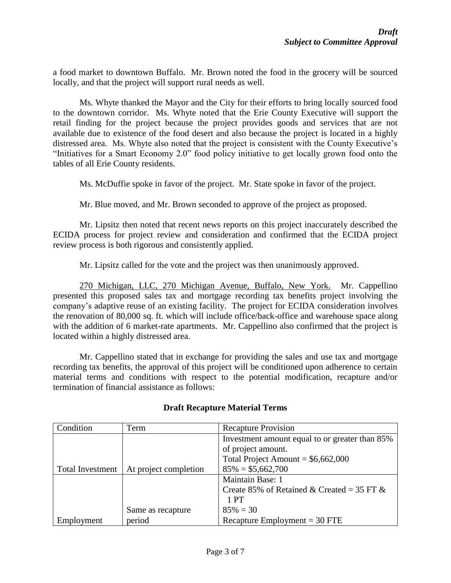a food market to downtown Buffalo. Mr. Brown noted the food in the grocery will be sourced locally, and that the project will support rural needs as well.

Ms. Whyte thanked the Mayor and the City for their efforts to bring locally sourced food to the downtown corridor. Ms. Whyte noted that the Erie County Executive will support the retail finding for the project because the project provides goods and services that are not available due to existence of the food desert and also because the project is located in a highly distressed area. Ms. Whyte also noted that the project is consistent with the County Executive's "Initiatives for a Smart Economy 2.0" food policy initiative to get locally grown food onto the tables of all Erie County residents.

Ms. McDuffie spoke in favor of the project. Mr. State spoke in favor of the project.

Mr. Blue moved, and Mr. Brown seconded to approve of the project as proposed.

Mr. Lipsitz then noted that recent news reports on this project inaccurately described the ECIDA process for project review and consideration and confirmed that the ECIDA project review process is both rigorous and consistently applied.

Mr. Lipsitz called for the vote and the project was then unanimously approved.

270 Michigan, LLC, 270 Michigan Avenue, Buffalo, New York. Mr. Cappellino presented this proposed sales tax and mortgage recording tax benefits project involving the company's adaptive reuse of an existing facility. The project for ECIDA consideration involves the renovation of 80,000 sq. ft. which will include office/back-office and warehouse space along with the addition of 6 market-rate apartments. Mr. Cappellino also confirmed that the project is located within a highly distressed area.

Mr. Cappellino stated that in exchange for providing the sales and use tax and mortgage recording tax benefits, the approval of this project will be conditioned upon adherence to certain material terms and conditions with respect to the potential modification, recapture and/or termination of financial assistance as follows:

| Condition               | Term                  | <b>Recapture Provision</b>                     |
|-------------------------|-----------------------|------------------------------------------------|
|                         |                       | Investment amount equal to or greater than 85% |
|                         |                       | of project amount.                             |
|                         |                       | Total Project Amount = $$6,662,000$            |
| <b>Total Investment</b> | At project completion | $85\% = $5,662,700$                            |
|                         |                       | Maintain Base: 1                               |
|                         |                       | Create 85% of Retained & Created = 35 FT &     |
|                         |                       | 1 PT                                           |
|                         | Same as recapture     | $85\% = 30$                                    |
| Employment              | period                | Recapture Employment = $30$ FTE                |

## **Draft Recapture Material Terms**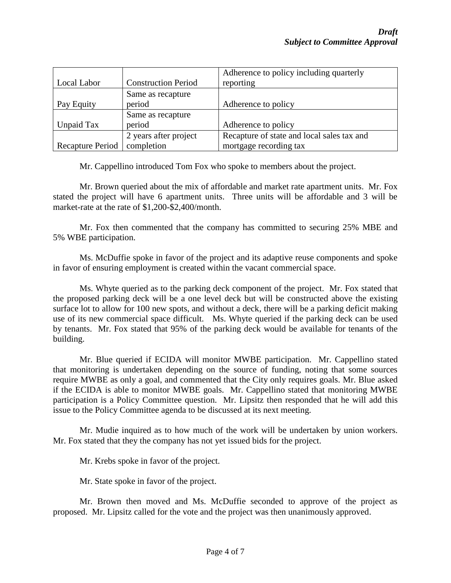|                  |                            | Adherence to policy including quarterly    |
|------------------|----------------------------|--------------------------------------------|
| Local Labor      | <b>Construction Period</b> | reporting                                  |
|                  | Same as recapture          |                                            |
| Pay Equity       | period                     | Adherence to policy                        |
|                  | Same as recapture          |                                            |
| Unpaid Tax       | period                     | Adherence to policy                        |
|                  | 2 years after project      | Recapture of state and local sales tax and |
| Recapture Period | completion                 | mortgage recording tax                     |

Mr. Cappellino introduced Tom Fox who spoke to members about the project.

Mr. Brown queried about the mix of affordable and market rate apartment units. Mr. Fox stated the project will have 6 apartment units. Three units will be affordable and 3 will be market-rate at the rate of \$1,200-\$2,400/month.

Mr. Fox then commented that the company has committed to securing 25% MBE and 5% WBE participation.

Ms. McDuffie spoke in favor of the project and its adaptive reuse components and spoke in favor of ensuring employment is created within the vacant commercial space.

Ms. Whyte queried as to the parking deck component of the project. Mr. Fox stated that the proposed parking deck will be a one level deck but will be constructed above the existing surface lot to allow for 100 new spots, and without a deck, there will be a parking deficit making use of its new commercial space difficult. Ms. Whyte queried if the parking deck can be used by tenants. Mr. Fox stated that 95% of the parking deck would be available for tenants of the building.

Mr. Blue queried if ECIDA will monitor MWBE participation. Mr. Cappellino stated that monitoring is undertaken depending on the source of funding, noting that some sources require MWBE as only a goal, and commented that the City only requires goals. Mr. Blue asked if the ECIDA is able to monitor MWBE goals. Mr. Cappellino stated that monitoring MWBE participation is a Policy Committee question. Mr. Lipsitz then responded that he will add this issue to the Policy Committee agenda to be discussed at its next meeting.

Mr. Mudie inquired as to how much of the work will be undertaken by union workers. Mr. Fox stated that they the company has not yet issued bids for the project.

Mr. Krebs spoke in favor of the project.

Mr. State spoke in favor of the project.

Mr. Brown then moved and Ms. McDuffie seconded to approve of the project as proposed. Mr. Lipsitz called for the vote and the project was then unanimously approved.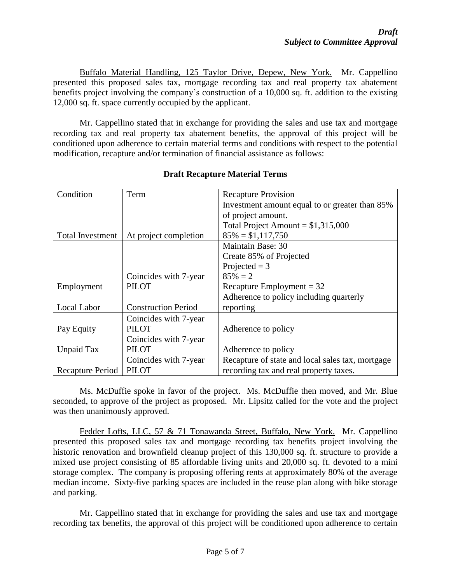Buffalo Material Handling, 125 Taylor Drive, Depew, New York. Mr. Cappellino presented this proposed sales tax, mortgage recording tax and real property tax abatement benefits project involving the company's construction of a 10,000 sq. ft. addition to the existing 12,000 sq. ft. space currently occupied by the applicant.

Mr. Cappellino stated that in exchange for providing the sales and use tax and mortgage recording tax and real property tax abatement benefits, the approval of this project will be conditioned upon adherence to certain material terms and conditions with respect to the potential modification, recapture and/or termination of financial assistance as follows:

| Condition               | Term                       | <b>Recapture Provision</b>                       |
|-------------------------|----------------------------|--------------------------------------------------|
|                         |                            | Investment amount equal to or greater than 85%   |
|                         |                            | of project amount.                               |
|                         |                            | Total Project Amount = $$1,315,000$              |
| <b>Total Investment</b> | At project completion      | $85\% = $1,117,750$                              |
|                         |                            | Maintain Base: 30                                |
|                         |                            | Create 85% of Projected                          |
|                         |                            | Projected $=$ 3                                  |
|                         | Coincides with 7-year      | $85\% = 2$                                       |
| Employment              | <b>PILOT</b>               | Recapture Employment = $32$                      |
|                         |                            | Adherence to policy including quarterly          |
| Local Labor             | <b>Construction Period</b> | reporting                                        |
|                         | Coincides with 7-year      |                                                  |
| Pay Equity              | <b>PILOT</b>               | Adherence to policy                              |
|                         | Coincides with 7-year      |                                                  |
| Unpaid Tax              | PILOT                      | Adherence to policy                              |
|                         | Coincides with 7-year      | Recapture of state and local sales tax, mortgage |
| Recapture Period        | <b>PILOT</b>               | recording tax and real property taxes.           |

# **Draft Recapture Material Terms**

Ms. McDuffie spoke in favor of the project. Ms. McDuffie then moved, and Mr. Blue seconded, to approve of the project as proposed. Mr. Lipsitz called for the vote and the project was then unanimously approved.

Fedder Lofts, LLC, 57 & 71 Tonawanda Street, Buffalo, New York. Mr. Cappellino presented this proposed sales tax and mortgage recording tax benefits project involving the historic renovation and brownfield cleanup project of this 130,000 sq. ft. structure to provide a mixed use project consisting of 85 affordable living units and 20,000 sq. ft. devoted to a mini storage complex. The company is proposing offering rents at approximately 80% of the average median income. Sixty-five parking spaces are included in the reuse plan along with bike storage and parking.

Mr. Cappellino stated that in exchange for providing the sales and use tax and mortgage recording tax benefits, the approval of this project will be conditioned upon adherence to certain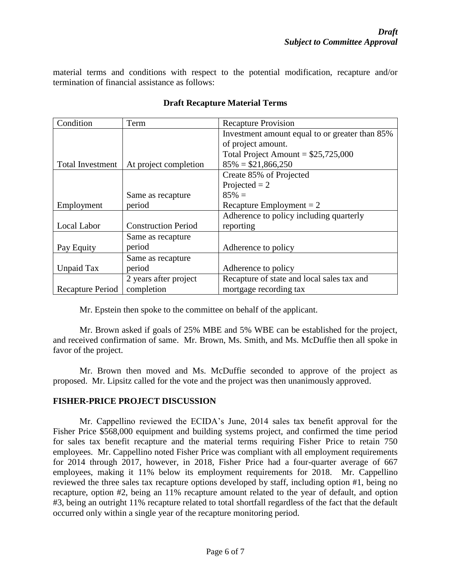material terms and conditions with respect to the potential modification, recapture and/or termination of financial assistance as follows:

| Condition               | Term                       | <b>Recapture Provision</b>                     |
|-------------------------|----------------------------|------------------------------------------------|
|                         |                            | Investment amount equal to or greater than 85% |
|                         |                            | of project amount.                             |
|                         |                            | Total Project Amount = $$25,725,000$           |
| <b>Total Investment</b> | At project completion      | $85\% = $21,866,250$                           |
|                         |                            | Create 85% of Projected                        |
|                         |                            | Projected $= 2$                                |
|                         | Same as recapture          | $85\% =$                                       |
| Employment              | period                     | Recapture Employment $= 2$                     |
|                         |                            | Adherence to policy including quarterly        |
| Local Labor             | <b>Construction Period</b> | reporting                                      |
|                         | Same as recapture          |                                                |
| Pay Equity              | period                     | Adherence to policy                            |
|                         | Same as recapture          |                                                |
| Unpaid Tax              | period                     | Adherence to policy                            |
|                         | 2 years after project      | Recapture of state and local sales tax and     |
| Recapture Period        | completion                 | mortgage recording tax                         |

## **Draft Recapture Material Terms**

Mr. Epstein then spoke to the committee on behalf of the applicant.

Mr. Brown asked if goals of 25% MBE and 5% WBE can be established for the project, and received confirmation of same. Mr. Brown, Ms. Smith, and Ms. McDuffie then all spoke in favor of the project.

Mr. Brown then moved and Ms. McDuffie seconded to approve of the project as proposed. Mr. Lipsitz called for the vote and the project was then unanimously approved.

### **FISHER-PRICE PROJECT DISCUSSION**

Mr. Cappellino reviewed the ECIDA's June, 2014 sales tax benefit approval for the Fisher Price \$568,000 equipment and building systems project, and confirmed the time period for sales tax benefit recapture and the material terms requiring Fisher Price to retain 750 employees. Mr. Cappellino noted Fisher Price was compliant with all employment requirements for 2014 through 2017, however, in 2018, Fisher Price had a four-quarter average of 667 employees, making it 11% below its employment requirements for 2018. Mr. Cappellino reviewed the three sales tax recapture options developed by staff, including option #1, being no recapture, option #2, being an 11% recapture amount related to the year of default, and option #3, being an outright 11% recapture related to total shortfall regardless of the fact that the default occurred only within a single year of the recapture monitoring period.